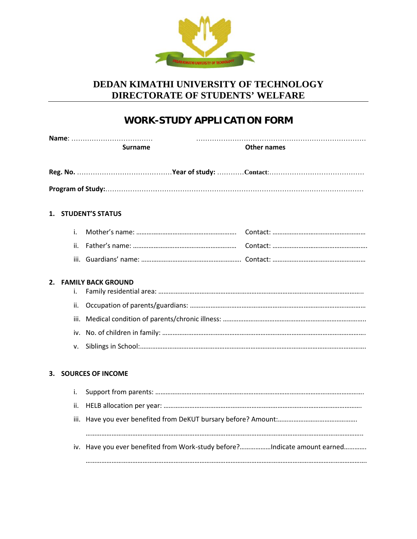

## **DEDAN KIMATHI UNIVERSITY OF TECHNOLOGY UNIVERSITY OF DIRECTORATE OF STUDENTS' WELFARE '**

# **WORK-STUDY APPLICATION FORM**

|    |      | <b>Surname</b>                                                            | <b>Other names</b> |
|----|------|---------------------------------------------------------------------------|--------------------|
|    |      |                                                                           |                    |
|    |      |                                                                           |                    |
|    |      | 1. STUDENT'S STATUS                                                       |                    |
|    | i.   |                                                                           |                    |
|    | ii.  |                                                                           |                    |
|    |      |                                                                           |                    |
|    | i.   | 2. FAMILY BACK GROUND                                                     |                    |
|    | ii.  |                                                                           |                    |
|    | iii. |                                                                           |                    |
|    |      |                                                                           |                    |
|    | v.   |                                                                           |                    |
| 3. |      | <b>SOURCES OF INCOME</b>                                                  |                    |
|    | i.   |                                                                           |                    |
|    | ii.  |                                                                           |                    |
|    |      |                                                                           |                    |
|    |      | iv. Have you ever benefited from Work-study before?Indicate amount earned |                    |
|    |      |                                                                           |                    |